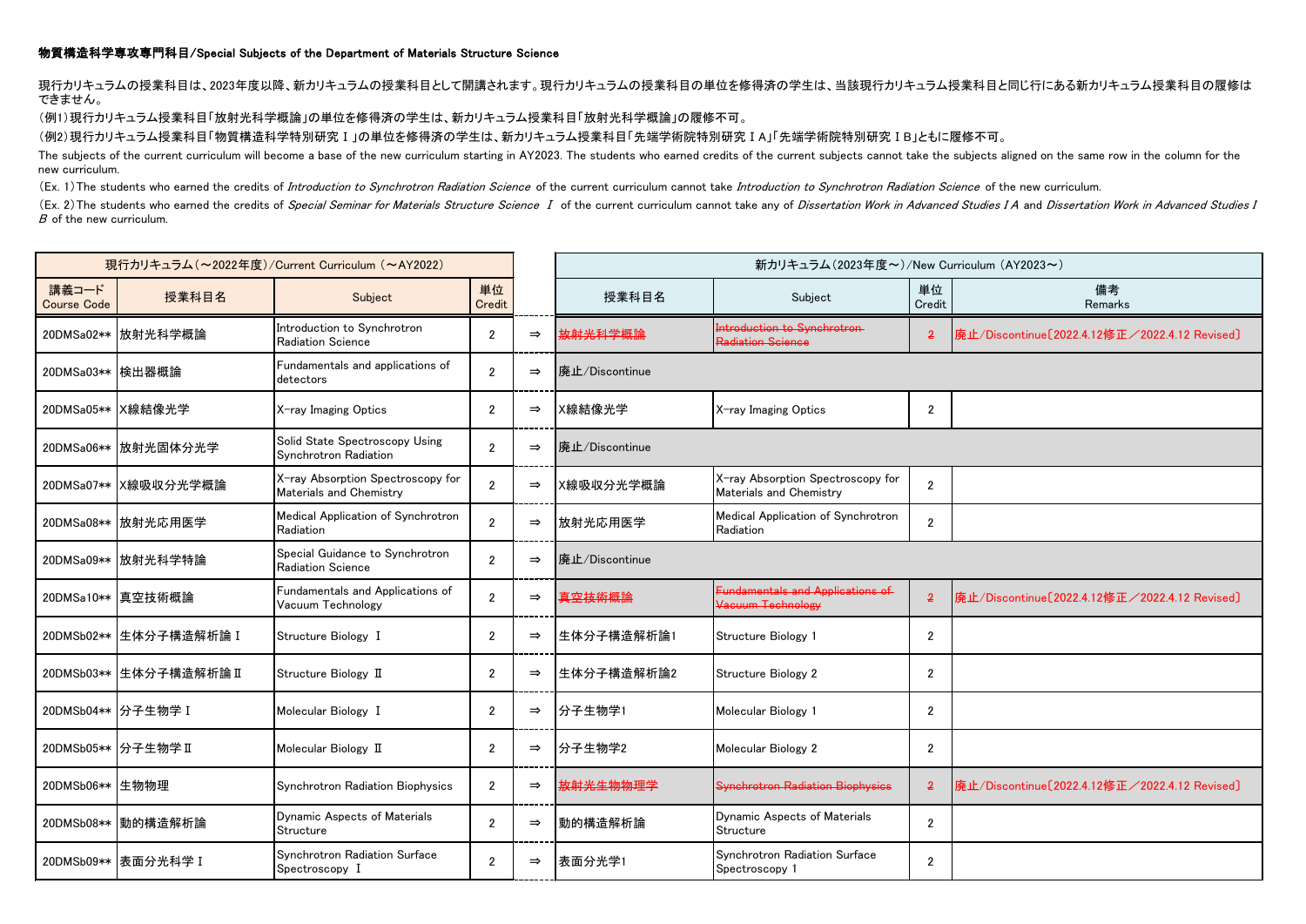## 物質構造科学専攻専門科目/Special Subjects of the Department of Materials Structure Science

現行カリキュラムの授業科目は、2023年度以降、新カリキュラムの授業科目として開講されます。現行カリキュラムの授業科目の単位を修得済の学生は、当該現行カリキュラム授業科目と同じ行にある新カリキュラム授業科目の履修は できません。

(例1)現行カリキュラム授業科目「放射光科学概論」の単位を修得済の学生は、新カリキュラム授業科目「放射光科学概論」の履修不可。

(例2)現行カリキュラム授業科目「物質構造科学特別研究Ⅰ」の単位を修得済の学生は、新カリキュラム授業科目「先端学術院特別研究ⅠA」「先端学術院特別研究ⅠB」ともに履修不可。

The subjects of the current curriculum will become a base of the new curriculum starting in AY2023. The students who earned credits of the current subjects cannot take the subjects aligned on the same row in the column for new curriculum.

(Ex. 1) The students who earned the credits of Introduction to Synchrotron Radiation Science of the current curriculum cannot take Introduction to Synchrotron Radiation Science of the new curriculum.

(Ex. 2) The students who earned the credits of Special Seminar for Materials Structure Science I of the current curriculum cannot take any of Dissertation Work in Advanced Studies IA and Dissertation Work in Advanced Studi <sup>B</sup> of the new curriculum.

| 現行カリキュラム (~2022年度)/Current Curriculum (~AY2022) |                         |                                                              |                |               | 新カリキュラム (2023年度~)/New Curriculum (AY2023~) |                                                              |                |                                               |
|-------------------------------------------------|-------------------------|--------------------------------------------------------------|----------------|---------------|--------------------------------------------|--------------------------------------------------------------|----------------|-----------------------------------------------|
| 講義コード<br><b>Course Code</b>                     | 授業科目名                   | Subject                                                      | 単位<br>Credit   |               | 授業科目名                                      | Subject                                                      | 単位<br>Credit   | 備考<br>Remarks                                 |
|                                                 | 20DMSa02** 放射光科学概論      | Introduction to Synchrotron<br>Radiation Science             | $\overline{2}$ | $\Rightarrow$ | 放射光科学概論                                    | Introduction to Synchrotron<br>Radiation Science             | $\overline{2}$ | 廃止/Discontinue[2022.4.12修正/2022.4.12 Revised] |
| 20DMSa03** 検出器概論                                |                         | Fundamentals and applications of<br>detectors                | $\overline{2}$ | $\Rightarrow$ | 廃止/Discontinue                             |                                                              |                |                                               |
|                                                 | 20DMSa05** X線結像光学       | X-ray Imaging Optics                                         | $\overline{2}$ | $\Rightarrow$ | X線結像光学                                     | X-ray Imaging Optics                                         | $\overline{2}$ |                                               |
|                                                 | 20DMSa06**   放射光固体分光学   | Solid State Spectroscopy Using<br>Synchrotron Radiation      | $\overline{2}$ | $\Rightarrow$ | 廃止/Discontinue                             |                                                              |                |                                               |
|                                                 | 20DMSa07** X線吸収分光学概論    | X-ray Absorption Spectroscopy for<br>Materials and Chemistry | $\overline{2}$ | $\Rightarrow$ | X線吸収分光学概論                                  | X-ray Absorption Spectroscopy for<br>Materials and Chemistry | $\overline{2}$ |                                               |
|                                                 | 20DMSa08** 放射光応用医学      | Medical Application of Synchrotron<br>Radiation              | $\overline{2}$ | $\Rightarrow$ | 放射光応用医学                                    | Medical Application of Synchrotron<br>Radiation              | $\overline{2}$ |                                               |
|                                                 | 20DMSa09**   放射光科学特論    | Special Guidance to Synchrotron<br>Radiation Science         | $\overline{2}$ | $\Rightarrow$ | 廃止/Discontinue                             |                                                              |                |                                               |
|                                                 | 20DMSa10** 真空技術概論       | Fundamentals and Applications of<br>Vacuum Technology        | $\overline{2}$ | $\Rightarrow$ | <del>真空技術概論</del>                          | <b>Fundamentals and Applications of</b><br>Vacuum Technology | $\overline{2}$ | 廃止/Discontinue[2022.4.12修正/2022.4.12 Revised] |
|                                                 | 20DMSb02** 生体分子構造解析論 I  | Structure Biology I                                          | $\overline{2}$ | $\Rightarrow$ | 生体分子構造解析論1                                 | Structure Biology 1                                          | $\overline{2}$ |                                               |
|                                                 | 20DMSb03** 生体分子構造解析論 II | Structure Biology II                                         | $\overline{2}$ | $\Rightarrow$ | 生体分子構造解析論2                                 | <b>Structure Biology 2</b>                                   | $\overline{2}$ |                                               |
|                                                 | 20DMSb04** 分子生物学 I      | Molecular Biology I                                          | $\overline{2}$ | $\Rightarrow$ | 分子生物学1                                     | Molecular Biology 1                                          | $\overline{2}$ |                                               |
|                                                 | 20DMSb05** 分子生物学 II     | Molecular Biology II                                         | $\overline{2}$ | $\Rightarrow$ | 分子生物学2                                     | Molecular Biology 2                                          | $\overline{2}$ |                                               |
| 20DMSb06** 生物物理                                 |                         | Synchrotron Radiation Biophysics                             | $\overline{2}$ | $\Rightarrow$ | <del>放射光生物物理学</del>                        | <b>Synchrotron Radiation Biophysics</b>                      | $\overline{2}$ | 廃止/Discontinue[2022.4.12修正/2022.4.12 Revised] |
|                                                 | 20DMSb08** 動的構造解析論      | Dynamic Aspects of Materials<br>Structure                    | $\overline{2}$ | $\Rightarrow$ | 動的構造解析論                                    | Dynamic Aspects of Materials<br>Structure                    | $\overline{2}$ |                                               |
|                                                 | 20DMSb09** 表面分光科学 I     | Synchrotron Radiation Surface<br>Spectroscopy I              | $\overline{2}$ | $\Rightarrow$ | 表面分光学1                                     | Synchrotron Radiation Surface<br>Spectroscopy 1              | $\overline{2}$ |                                               |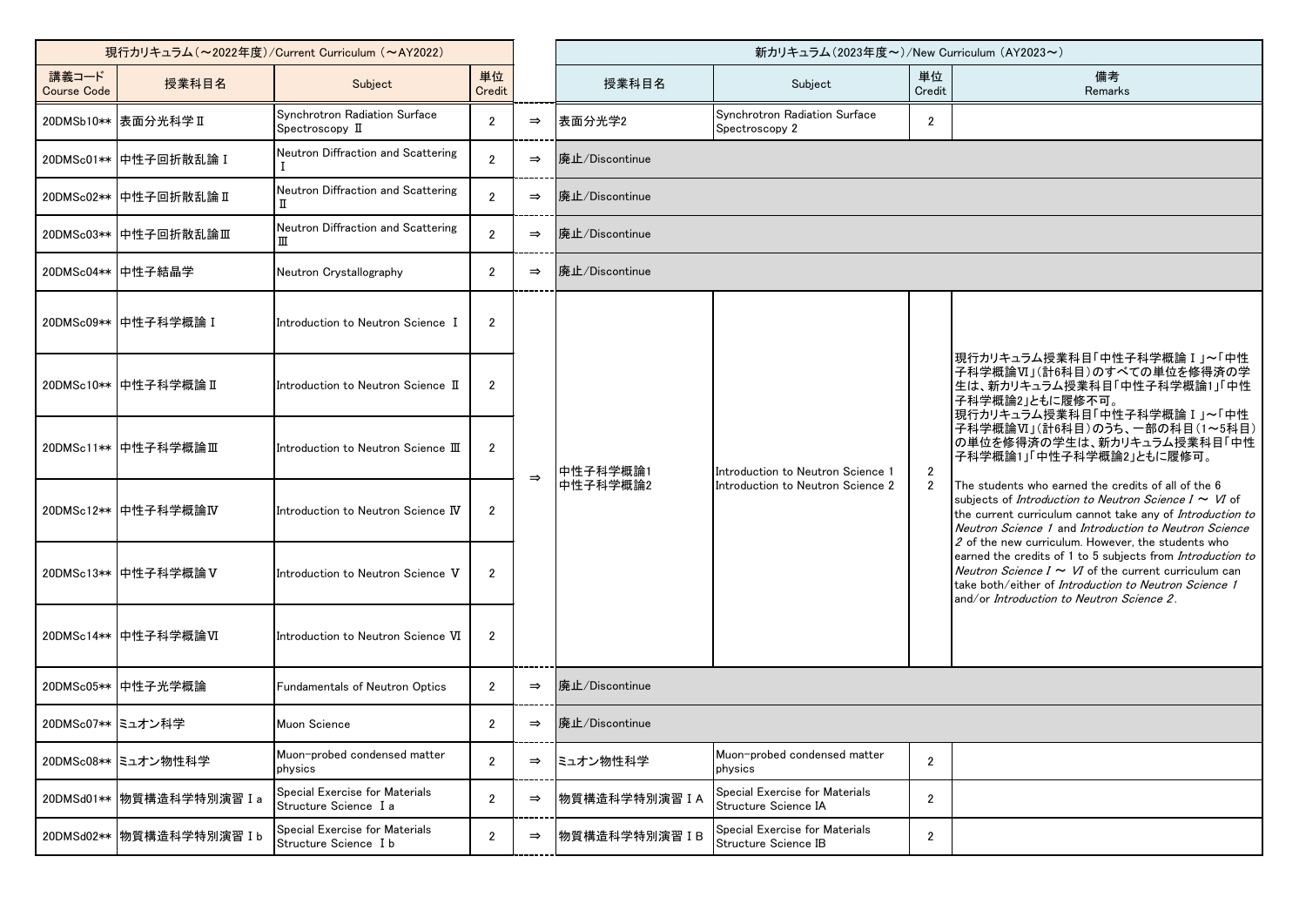| 現行カリキュラム (~2022年度)/Current Curriculum (~AY2022) |                           |                                                         |                       |               | 新カリキュラム (2023年度~)/New Curriculum (AY2023~) |                                                                        |                                  |                                                                                                                                                                                                                                                                                                                                                                                                                                                                                                                                                                                                                                     |  |
|-------------------------------------------------|---------------------------|---------------------------------------------------------|-----------------------|---------------|--------------------------------------------|------------------------------------------------------------------------|----------------------------------|-------------------------------------------------------------------------------------------------------------------------------------------------------------------------------------------------------------------------------------------------------------------------------------------------------------------------------------------------------------------------------------------------------------------------------------------------------------------------------------------------------------------------------------------------------------------------------------------------------------------------------------|--|
| 講義コード<br><b>Course Code</b>                     | 授業科目名                     | Subject                                                 | 単位<br>Credit          |               | 授業科目名                                      | Subject                                                                | 単位<br>Credit                     | 備考<br>Remarks                                                                                                                                                                                                                                                                                                                                                                                                                                                                                                                                                                                                                       |  |
|                                                 | 20DMSb10**  表面分光科学 II     | Synchrotron Radiation Surface<br>Spectroscopy II        | $\overline{2}$        | $\Rightarrow$ | 表面分光学2                                     | Synchrotron Radiation Surface<br>Spectroscopy 2                        | $\overline{2}$                   |                                                                                                                                                                                                                                                                                                                                                                                                                                                                                                                                                                                                                                     |  |
|                                                 | 20DMSc01** 中性子回折散乱論 I     | Neutron Diffraction and Scattering                      | $\mathfrak{p}$        | $\Rightarrow$ | 廃止/Discontinue                             |                                                                        |                                  |                                                                                                                                                                                                                                                                                                                                                                                                                                                                                                                                                                                                                                     |  |
|                                                 | 20DMSc02** 中性子回折散乱論 II    | Neutron Diffraction and Scattering                      | $\overline{2}$        | $\Rightarrow$ | 廃止/Discontinue                             |                                                                        |                                  |                                                                                                                                                                                                                                                                                                                                                                                                                                                                                                                                                                                                                                     |  |
|                                                 | 20DMSc03** 中性子回折散乱論Ⅲ      | Neutron Diffraction and Scattering<br>π                 | $\overline{2}$        | $\Rightarrow$ | 廃止/Discontinue                             |                                                                        |                                  |                                                                                                                                                                                                                                                                                                                                                                                                                                                                                                                                                                                                                                     |  |
| 20DMSc04** 中性子結晶学                               |                           | Neutron Crystallography                                 | $\mathbf{2}^{\prime}$ | $\Rightarrow$ | 廃止/Discontinue                             |                                                                        |                                  |                                                                                                                                                                                                                                                                                                                                                                                                                                                                                                                                                                                                                                     |  |
|                                                 | 20DMSc09** 中性子科学概論 I      | Introduction to Neutron Science I                       | $\overline{2}$        |               |                                            |                                                                        |                                  |                                                                                                                                                                                                                                                                                                                                                                                                                                                                                                                                                                                                                                     |  |
|                                                 | ┃20DMSc10**┃中性子科学概論Ⅱ      | Introduction to Neutron Science II                      | $\overline{2}$        |               |                                            |                                                                        |                                  | 現行カリキュラム授業科目「中性子科学概論 I 」~「中性<br> 子科学概論Ⅵ」(計6科目)のすべての単位を修得済の学<br>生は、新カリキュラム授業科目「中性子科学概論1」「中性<br> 子科学概論2」ともに履修不可。<br> 現行カリキュラム授業科目「中性子科学概論 I 」~「中性                                                                                                                                                                                                                                                                                                                                                                                                                                                                                     |  |
|                                                 | 20DMSc11** 中性子科学概論Ⅲ       | Introduction to Neutron Science $\rm I\!I\!I$           | $\mathbf{2}$          | $\Rightarrow$ | 中性子科学概論1<br>中性子科学概論2                       | Introduction to Neutron Science 1<br>Introduction to Neutron Science 2 | $\overline{2}$<br>$\overline{2}$ | 子科学概論VI」(計6科目)のうち、一部の科目(1~5科目)<br>の単位を修得済の学生は、新カリキュラム授業科目「中性<br>子科学概論1」「中性子科学概論2」ともに履修可。<br>The students who earned the credits of all of the 6<br>subjects of <i>Introduction to Neutron Science I ~ VI</i> of<br>the current curriculum cannot take any of Introduction to<br>Neutron Science 1 and Introduction to Neutron Science<br>2 of the new curriculum. However, the students who<br>earned the credits of 1 to 5 subjects from Introduction to<br>Neutron Science $I \sim VI$ of the current curriculum can<br>take both/either of <i>Introduction to Neutron Science 1</i><br>and/or Introduction to Neutron Science 2. |  |
|                                                 | 20DMSc12** 中性子科学概論IV      | Introduction to Neutron Science $\hbox{\bf N}$          | $\mathbf{2}$          |               |                                            |                                                                        |                                  |                                                                                                                                                                                                                                                                                                                                                                                                                                                                                                                                                                                                                                     |  |
|                                                 | 20DMSc13** 中性子科学概論 V      | Introduction to Neutron Science V                       | $\overline{2}$        |               |                                            |                                                                        |                                  |                                                                                                                                                                                                                                                                                                                                                                                                                                                                                                                                                                                                                                     |  |
|                                                 | 20DMSc14** 中性子科学概論VI      | Introduction to Neutron Science VI                      | $\mathbf{2}$          |               |                                            |                                                                        |                                  |                                                                                                                                                                                                                                                                                                                                                                                                                                                                                                                                                                                                                                     |  |
|                                                 | 20DMSc05** 中性子光学概論        | Fundamentals of Neutron Optics                          | $\overline{2}$        | $\Rightarrow$ | 廃止/Discontinue                             |                                                                        |                                  |                                                                                                                                                                                                                                                                                                                                                                                                                                                                                                                                                                                                                                     |  |
| 20DMSc07** ミュオン科学                               |                           | Muon Science                                            | $\overline{2}$        | $\Rightarrow$ | 廃止/Discontinue                             |                                                                        |                                  |                                                                                                                                                                                                                                                                                                                                                                                                                                                                                                                                                                                                                                     |  |
|                                                 | 20DMSc08** ミュオン物性科学       | Muon-probed condensed matter<br>physics                 | $\overline{2}$        | $\Rightarrow$ | ミュオン物性科学                                   | Muon-probed condensed matter<br>physics                                | $\overline{2}$                   |                                                                                                                                                                                                                                                                                                                                                                                                                                                                                                                                                                                                                                     |  |
|                                                 | 20DMSd01** 物質構造科学特別演習 I a | Special Exercise for Materials<br>Structure Science I a | $\mathbf{2}$          | $\Rightarrow$ | 物質構造科学特別演習 IA                              | Special Exercise for Materials<br>Structure Science IA                 | $\overline{2}$                   |                                                                                                                                                                                                                                                                                                                                                                                                                                                                                                                                                                                                                                     |  |
|                                                 | 20DMSd02** 物質構造科学特別演習 I b | Special Exercise for Materials<br>Structure Science I b | $\mathbf{2}$          | $\Rightarrow$ | 物質構造科学特別演習 IB                              | Special Exercise for Materials<br>Structure Science IB                 | $\overline{2}$                   |                                                                                                                                                                                                                                                                                                                                                                                                                                                                                                                                                                                                                                     |  |